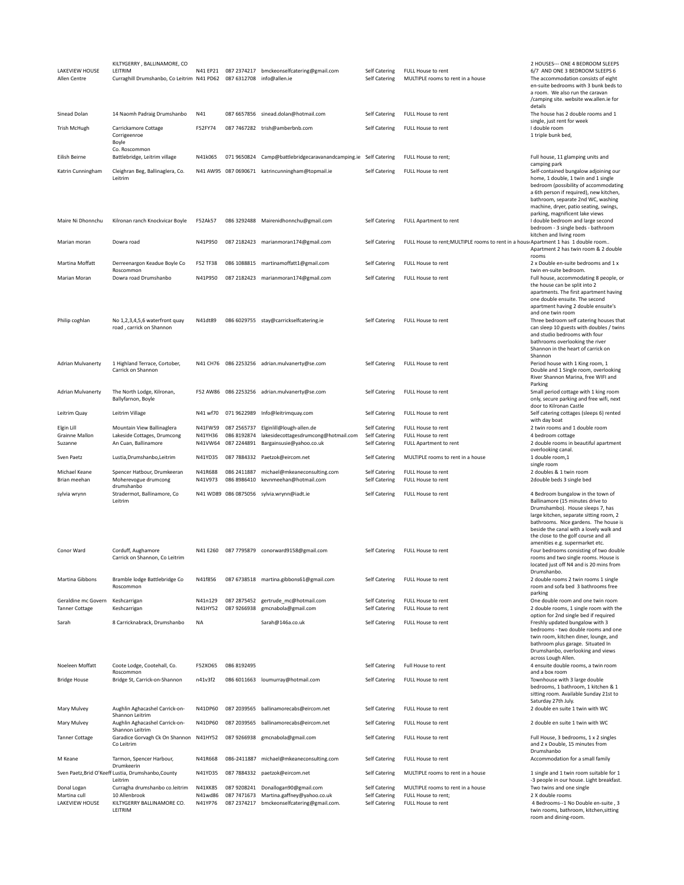| LAKEVIEW HOUSE<br>Allen Centre                | KILTYGERRY, BALLINAMORE, CO<br>LEITRIM<br>Curraghill Drumshanbo, Co Leitrim N41 PD62 087 6312708 info@allen.ie |                               |                            | N41 EP21 087 2374217 bmckeonselfcatering@gmail.com                                                  | Self Catering<br>Self Catering                  | FULL House to rent<br>MULTIPLE rooms to rent in a house                            | 2 HOUSES--- ONE 4 BEDROOM SLEEPS<br>6/7 AND ONE 3 BEDROOM SLEEPS 6<br>The accommodation consists of eight<br>en-suite bedrooms with 3 bunk beds to<br>a room. We also run the caravan<br>/camping site. website ww.allen.ie for                                                                                     |
|-----------------------------------------------|----------------------------------------------------------------------------------------------------------------|-------------------------------|----------------------------|-----------------------------------------------------------------------------------------------------|-------------------------------------------------|------------------------------------------------------------------------------------|---------------------------------------------------------------------------------------------------------------------------------------------------------------------------------------------------------------------------------------------------------------------------------------------------------------------|
| Sinead Dolan                                  | 14 Naomh Padraig Drumshanbo                                                                                    | N41                           |                            | 087 6657856 sinead.dolan@hotmail.com                                                                | Self Catering                                   | FULL House to rent                                                                 | details<br>The house has 2 double rooms and 1                                                                                                                                                                                                                                                                       |
| <b>Trish McHugh</b>                           | Carrickamore Cottage<br>Corrigeenroe<br>Boyle                                                                  | F52FY74                       |                            | 087 7467282 trish@amberbnb.com                                                                      | <b>Self Catering</b>                            | FULL House to rent                                                                 | single, just rent for week<br>I double room<br>1 triple bunk bed,                                                                                                                                                                                                                                                   |
| Eilish Beirne                                 | Co. Roscommon<br>Battlebridge, Leitrim village                                                                 | N41k065                       | 071 9650824                | Camp@battlebridgecaravanandcamping.ie Self Catering                                                 |                                                 | FULL House to rent;                                                                | Full house, 11 glamping units and                                                                                                                                                                                                                                                                                   |
| Katrin Cunningham                             | Cleighran Beg, Ballinaglera, Co.                                                                               |                               |                            | N41 AW95 087 0690671 katrincunningham@topmail.ie                                                    | Self Catering                                   | FULL House to rent                                                                 | camping park<br>Self-contained bungalow adjoining our                                                                                                                                                                                                                                                               |
| Maire Ni Dhonnchu                             | Leitrim<br>Kilronan ranch Knockvicar Boyle                                                                     | F52Ak57                       |                            | 086 3292488 Mairenidhonnchu@gmail.com                                                               | Self Catering                                   | <b>FULL Apartment to rent</b>                                                      | home, 1 double, 1 twin and 1 single<br>bedroom (possibility of accommodating<br>a 6th person if required), new kitchen,<br>bathroom, separate 2nd WC, washing<br>machine, dryer, patio seating, swings,<br>parking, magnificent lake views<br>I double bedroom and large second                                     |
| Marian moran                                  | Dowra road                                                                                                     | N41P950                       |                            | 087 2182423 marianmoran174@gmail.com                                                                | <b>Self Catering</b>                            | FULL House to rent; MULTIPLE rooms to rent in a hous Apartment 1 has 1 double room | bedroom - 3 single beds - bathroom<br>kitchen and living room                                                                                                                                                                                                                                                       |
|                                               |                                                                                                                |                               |                            |                                                                                                     |                                                 |                                                                                    | Apartment 2 has twin room & 2 double<br>rooms                                                                                                                                                                                                                                                                       |
| Martina Moffatt                               | Derreenargon Keadue Boyle Co<br>Roscommon                                                                      | F52 TF38                      |                            | 086 1088815 martinamoffatt1@gmail.com                                                               | Self Catering                                   | FULL House to rent                                                                 | 2 x Double en-suite bedrooms and 1 x<br>twin en-suite bedroom.                                                                                                                                                                                                                                                      |
| Marian Moran<br>Philip coghlan                | Dowra road Drumshanbo<br>No 1,2,3,4,5,6 waterfront quay                                                        | N41P950<br>N41dt89            |                            | 087 2182423 marianmoran174@gmail.com<br>086 6029755 stay@carrickselfcatering.ie                     | Self Catering<br>Self Catering                  | FULL House to rent<br>FULL House to rent                                           | Full house, accommodating 8 people, or<br>the house can be split into 2<br>apartments. The first apartment having<br>one double ensuite. The second<br>apartment having 2 double ensuite's<br>and one twin room<br>Three bedroom self catering houses that                                                          |
|                                               | road, carrick on Shannon                                                                                       |                               |                            |                                                                                                     |                                                 |                                                                                    | can sleep 10 guests with doubles / twins<br>and studio bedrooms with four<br>bathrooms overlooking the river<br>Shannon in the heart of carrick on<br>Shannon                                                                                                                                                       |
| Adrian Mulvanerty                             | 1 Highland Terrace, Cortober,<br>Carrick on Shannon                                                            |                               |                            | N41 CH76 086 2253256 adrian.mulvanerty@se.com                                                       | Self Catering                                   | FULL House to rent                                                                 | Period house with 1 King room, 1<br>Double and 1 Single room, overlooking<br>River Shannon Marina, free WIFI and<br>Parking                                                                                                                                                                                         |
| Adrian Mulvanerty                             | The North Lodge, Kilronan,<br>Ballyfarnon, Boyle                                                               |                               |                            | F52 AW86 086 2253256 adrian.mulvanerty@se.com                                                       | Self Catering                                   | FULL House to rent                                                                 | Small period cottage with 1 king room<br>only, secure parking and free wifi, next<br>door to Kilronan Castle                                                                                                                                                                                                        |
| Leitrim Quay                                  | Leitrim Village                                                                                                | N41 wf70                      | 071 9622989                | Info@leitrimquay.com                                                                                | Self Catering                                   | FULL House to rent                                                                 | Self catering cottages (sleeps 6) rented<br>with day boat                                                                                                                                                                                                                                                           |
| Elgin Lill<br>Grainne Mallon                  | Mountain View Ballinaglera<br>Lakeside Cottages, Drumcong                                                      | N41FW59<br>N41YH36            | 087 2565737<br>086 8192874 | Elginlill@lough-allen.de<br>lakesidecottagesdrumcong@hotmail.com                                    | Self Catering<br>Self Catering                  | FULL House to rent<br>FULL House to rent                                           | 2 twin rooms and 1 double room<br>4 bedroom cottage                                                                                                                                                                                                                                                                 |
| Suzanne                                       | An Cuan, Ballinamore                                                                                           | N41VW64                       | 087 2244891                | Bargainsusie@yahoo.co.uk                                                                            | Self Catering                                   | FULL Apartment to rent                                                             | 2 double rooms in beautiful apartment                                                                                                                                                                                                                                                                               |
| Sven Paetz                                    | Lustia, Drumshanbo, Leitrim                                                                                    | N41YD35                       |                            | 087 7884332 Paetzok@eircom.net                                                                      | Self Catering                                   | MULTIPLE rooms to rent in a house                                                  | overlooking canal.<br>1 double room,1                                                                                                                                                                                                                                                                               |
| Michael Keane<br>Brian meehan                 | Spencer Hatbour, Drumkeeran<br>Moherevogue drumcong                                                            | N41R688<br>N41V973            | 086 2411887<br>086 8986410 | michael@mkeaneconsulting.com<br>kevnmeehan@hotmail.com                                              | Self Catering<br>Self Catering                  | FULL House to rent<br>FULL House to rent                                           | single room<br>2 doubles & 1 twin room<br>2double beds 3 single bed                                                                                                                                                                                                                                                 |
| sylvia wrynn                                  | drumshanbo<br>Stradermot, Ballinamore, Co<br>Leitrim                                                           |                               |                            | N41 WD89 086 0875056 sylvia.wrynn@iadt.ie                                                           | Self Catering                                   | FULL House to rent                                                                 | 4 Bedroom bungalow in the town of<br>Ballinamore (15 minutes drive to<br>Drumshambo). House sleeps 7, has<br>large kitchen, separate sitting room, 2<br>bathrooms. Nice gardens. The house is<br>beside the canal with a lovely walk and<br>the close to the golf course and all<br>amenities e.g. supermarket etc. |
| Conor Ward                                    | Corduff, Aughamore<br>Carrick on Shannon, Co Leitrim                                                           |                               |                            | N41 E260 087 7795879 conorward9158@gmail.com                                                        | Self Catering                                   | FULL House to rent                                                                 | Four bedrooms consisting of two double<br>rooms and two single rooms. House is<br>located just off N4 and is 20 mins from<br>Drumshanbo.                                                                                                                                                                            |
| Martina Gibbons                               | Bramble lodge Battlebridge Co<br>Roscommon                                                                     | N41f856                       |                            | 087 6738518 martina.gibbons61@gmail.com                                                             | Self Catering                                   | FULL House to rent                                                                 | 2 double rooms 2 twin rooms 1 single<br>room and sofa bed 3 bathrooms free<br>parking                                                                                                                                                                                                                               |
| Geraldine mc Govern<br><b>Tanner Cottage</b>  | Keshcarrigan<br>Keshcarrigan                                                                                   | N41n129<br>N41HY52            | 087 9266938                | 087 2875452 gertrude_mc@hotmail.com<br>gmcnabola@gmail.com                                          | Self Catering<br>Self Catering                  | FULL House to rent<br>FULL House to rent                                           | One double room and one twin room<br>2 double rooms, 1 single room with the                                                                                                                                                                                                                                         |
| Sarah                                         | 8 Carricknabrack, Drumshanbo                                                                                   | <b>NA</b>                     |                            | Sarah@146a.co.uk                                                                                    | Self Catering                                   | FULL House to rent                                                                 | option for 2nd single bed if required<br>Freshly updated bungalow with 3<br>bedrooms - two double rooms and one<br>twin room, kitchen diner, lounge, and<br>bathroom plus garage. Situated In<br>Drumshanbo, overlooking and views                                                                                  |
| Noeleen Moffatt                               | Coote Lodge, Cootehall, Co.<br>Roscommon                                                                       | F52XO65                       | 086 8192495                |                                                                                                     | Self Catering                                   | Full House to rent                                                                 | across Lough Allen.<br>4 ensuite double rooms, a twin room<br>and a box room                                                                                                                                                                                                                                        |
| <b>Bridge House</b>                           | Bridge St, Carrick-on-Shannon                                                                                  | n41v3f2                       |                            | 086 6011663 loumurray@hotmail.com                                                                   | <b>Self Catering</b>                            | FULL House to rent                                                                 | Townhouse with 3 large double<br>bedrooms, 1 bathroom, 1 kitchen & 1<br>sitting room. Available Sunday 21st to                                                                                                                                                                                                      |
| Mary Mulvey                                   | Aughlin Aghacashel Carrick-on-                                                                                 | N41DP60                       | 087 2039565                | ballinamorecabs@eircom.net                                                                          | <b>Self Catering</b>                            | FULL House to rent                                                                 | Saturday 27th July.<br>2 double en suite 1 twin with WC                                                                                                                                                                                                                                                             |
| Mary Mulvey                                   | Shannon Leitrim<br>Aughlin Aghacashel Carrick-on-                                                              | N41DP60                       | 087 2039565                | ballinamorecabs@eircom.net                                                                          | Self Catering                                   | FULL House to rent                                                                 | 2 double en suite 1 twin with WC                                                                                                                                                                                                                                                                                    |
| <b>Tanner Cottage</b>                         | Shannon Leitrim<br>Garadice Gorvagh Ck On Shannon N41HY52<br>Co Leitrim                                        |                               |                            | 087 9266938 gmcnabola@gmail.com                                                                     | Self Catering                                   | FULL House to rent                                                                 | Full House, 3 bedrooms, 1 x 2 singles<br>and 2 x Double, 15 minutes from                                                                                                                                                                                                                                            |
| M Keane                                       | Tarmon, Spencer Harbour,                                                                                       | N41R668                       |                            | 086-2411887 michael@mkeaneconsulting.com                                                            | Self Catering                                   | FULL House to rent                                                                 | Drumshanbo<br>Accommodation for a small family                                                                                                                                                                                                                                                                      |
|                                               | Drumkeerin<br>Sven Paetz, Brid O'Keefl Lustia, Drumshanbo, County                                              | N41YD35                       |                            | 087 7884332 paetzok@eircom.net                                                                      | Self Catering                                   | MULTIPLE rooms to rent in a house                                                  | 1 single and 1 twin room suitable for 1                                                                                                                                                                                                                                                                             |
| Donal Logan<br>Martina cull<br>LAKEVIEW HOUSE | Leitrim<br>Curragha drumshanbo co.leitrim<br>10 Allenbrook<br>KILTYGERRY BALLINAMORE CO.<br>LEITRIM            | N41XK85<br>N41wd86<br>N41YP76 | 087 7471673<br>087 2374217 | 087 9208241 Donallogan90@gmail.com<br>Martina.gaffney@yahoo.co.uk<br>bmckeonselfcatering@gmail.com. | Self Catering<br>Self Catering<br>Self Catering | MULTIPLE rooms to rent in a house<br>FULL House to rent;<br>FULL House to rent     | -3 people in our house. Light breakfast.<br>Two twins and one single<br>2 X double rooms<br>4 Bedrooms--1 No Double en-suite, 3<br>twin rooms, bathroom, kitchen, sitting<br>room and dining-room.                                                                                                                  |